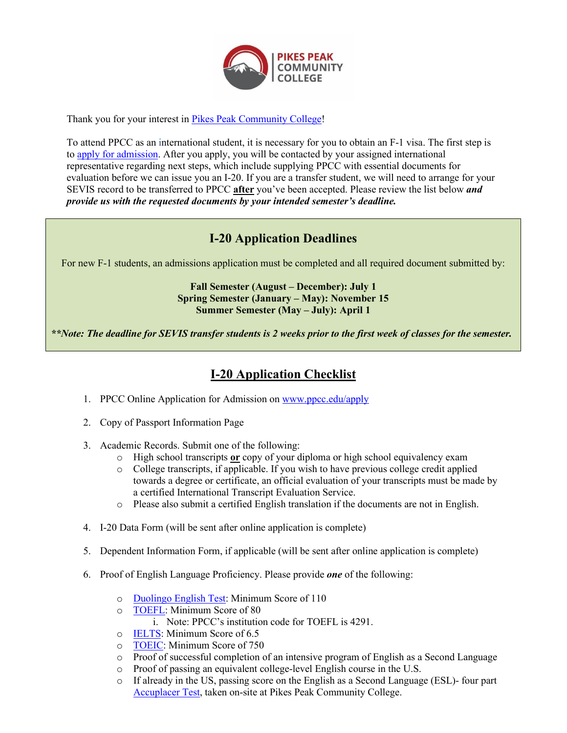

Thank you for your interest in [Pikes Peak Community College!](http://ppcc.edu/)

To attend PPCC as an international student, it is necessary for you to obtain an F-1 visa. The first step is to [apply for admission.](https://ppcc.elluciancrmrecruit.com/Apply/Account/Login?ReturnUrl=%2fApply) After you apply, you will be contacted by your assigned international representative regarding next steps, which include supplying PPCC with essential documents for evaluation before we can issue you an I-20. If you are a transfer student, we will need to arrange for your SEVIS record to be transferred to PPCC **after** you've been accepted. Please review the list below *and provide us with the requested documents by your intended semester's deadline.*

# **I-20 Application Deadlines**

For new F-1 students, an admissions application must be completed and all required document submitted by:

#### **Fall Semester (August – December): July 1 Spring Semester (January – May): November 15 Summer Semester (May – July): April 1**

*\*\*Note: The deadline for SEVIS transfer students is 2 weeks prior to the first week of classes for the semester.* 

# **I-20 Application Checklist**

- 1. PPCC Online Application for Admission on [www.ppcc.edu/apply](http://www.ppcc.edu/apply)
- 2. Copy of Passport Information Page
- 3. Academic Records. Submit one of the following:
	- o High school transcripts **or** copy of your diploma or high school equivalency exam
	- o College transcripts, if applicable. If you wish to have previous college credit applied towards a degree or certificate, an official evaluation of your transcripts must be made by a certified International Transcript Evaluation Service.
	- o Please also submit a certified English translation if the documents are not in English.
- 4. I-20 Data Form (will be sent after online application is complete)
- 5. Dependent Information Form, if applicable (will be sent after online application is complete)
- 6. Proof of English Language Proficiency. Please provide *one* of the following:
	- o [Duolingo English Test:](https://englishtest.duolingo.com/) Minimum Score of 110<br>  $\circ$  TOEFL: Minimum Score of 80
	- [TOEFL:](http://www.ets.org/toefl) Minimum Score of 80
		- i. Note: PPCC's institution code for TOEFL is 4291.
	- o [IELTS:](http://www.ielts.org/) Minimum Score of 6.5
	- o [TOEIC:](https://www.ets.org/toeic) Minimum Score of 750
	- $\circ$  Proof of successful completion of an intensive program of English as a Second Language  $\circ$  Proof of passing an equivalent college-level English course in the U.S.
	- o Proof of passing an equivalent college-level English course in the U.S.<br>
	o If already in the US, passing score on the English as a Second Language
	- If already in the US, passing score on the English as a Second Language (ESL)- four part [Accuplacer Test,](https://accuplacer.collegeboard.org/) taken on-site at Pikes Peak Community College.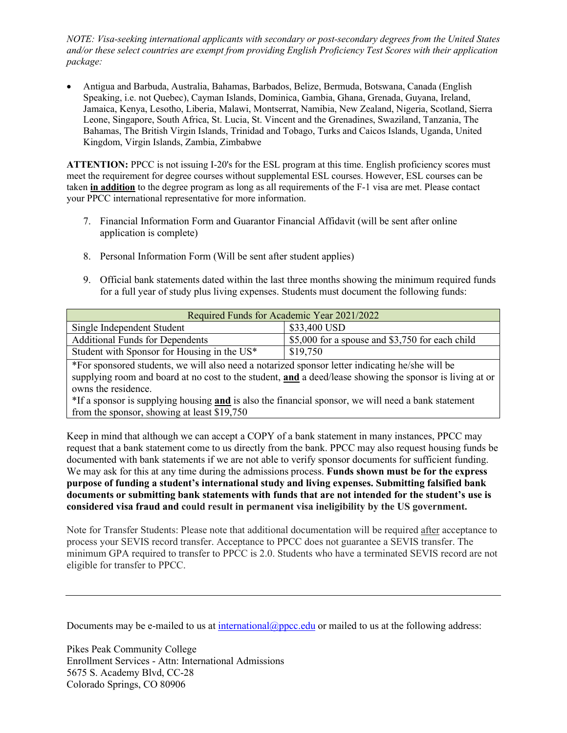*NOTE: Visa-seeking international applicants with secondary or post-secondary degrees from the United States and/or these select countries are exempt from providing English Proficiency Test Scores with their application package:* 

• Antigua and Barbuda, Australia, Bahamas, Barbados, Belize, Bermuda, Botswana, Canada (English Speaking, i.e. not Quebec), Cayman Islands, Dominica, Gambia, Ghana, Grenada, Guyana, Ireland, Jamaica, Kenya, Lesotho, Liberia, Malawi, Montserrat, Namibia, New Zealand, Nigeria, Scotland, Sierra Leone, Singapore, South Africa, St. Lucia, St. Vincent and the Grenadines, Swaziland, Tanzania, The Bahamas, The British Virgin Islands, Trinidad and Tobago, Turks and Caicos Islands, Uganda, United Kingdom, Virgin Islands, Zambia, Zimbabwe

**ATTENTION:** PPCC is not issuing I-20's for the ESL program at this time. English proficiency scores must meet the requirement for degree courses without supplemental ESL courses. However, ESL courses can be taken **in addition** to the degree program as long as all requirements of the F-1 visa are met. Please contact your PPCC international representative for more information.

- 7. Financial Information Form and Guarantor Financial Affidavit (will be sent after online application is complete)
- 8. Personal Information Form (Will be sent after student applies)
- 9. Official bank statements dated within the last three months showing the minimum required funds for a full year of study plus living expenses. Students must document the following funds:

| Required Funds for Academic Year 2021/2022  |                                                      |
|---------------------------------------------|------------------------------------------------------|
| Single Independent Student                  | \$33,400 USD                                         |
| <b>Additional Funds for Dependents</b>      | \, \,\$5,000 for a spouse and \$3,750 for each child |
| Student with Sponsor for Housing in the US* | \$19,750                                             |

\*For sponsored students, we will also need a notarized sponsor letter indicating he/she will be supplying room and board at no cost to the student, **and** a deed/lease showing the sponsor is living at or owns the residence.

\*If a sponsor is supplying housing **and** is also the financial sponsor, we will need a bank statement from the sponsor, showing at least \$19,750

Keep in mind that although we can accept a COPY of a bank statement in many instances, PPCC may request that a bank statement come to us directly from the bank. PPCC may also request housing funds be documented with bank statements if we are not able to verify sponsor documents for sufficient funding. We may ask for this at any time during the admissions process. **Funds shown must be for the express purpose of funding a student's international study and living expenses. Submitting falsified bank documents or submitting bank statements with funds that are not intended for the student's use is considered visa fraud and could result in permanent visa ineligibility by the US government.**

Note for Transfer Students: Please note that additional documentation will be required after acceptance to process your SEVIS record transfer. Acceptance to PPCC does not guarantee a SEVIS transfer. The minimum GPA required to transfer to PPCC is 2.0. Students who have a terminated SEVIS record are not eligible for transfer to PPCC.

Documents may be e-mailed to us at [international@ppcc.edu](mailto:international@ppcc.edu) or mailed to us at the following address:

Pikes Peak Community College Enrollment Services - Attn: International Admissions 5675 S. Academy Blvd, CC-28 Colorado Springs, CO 80906